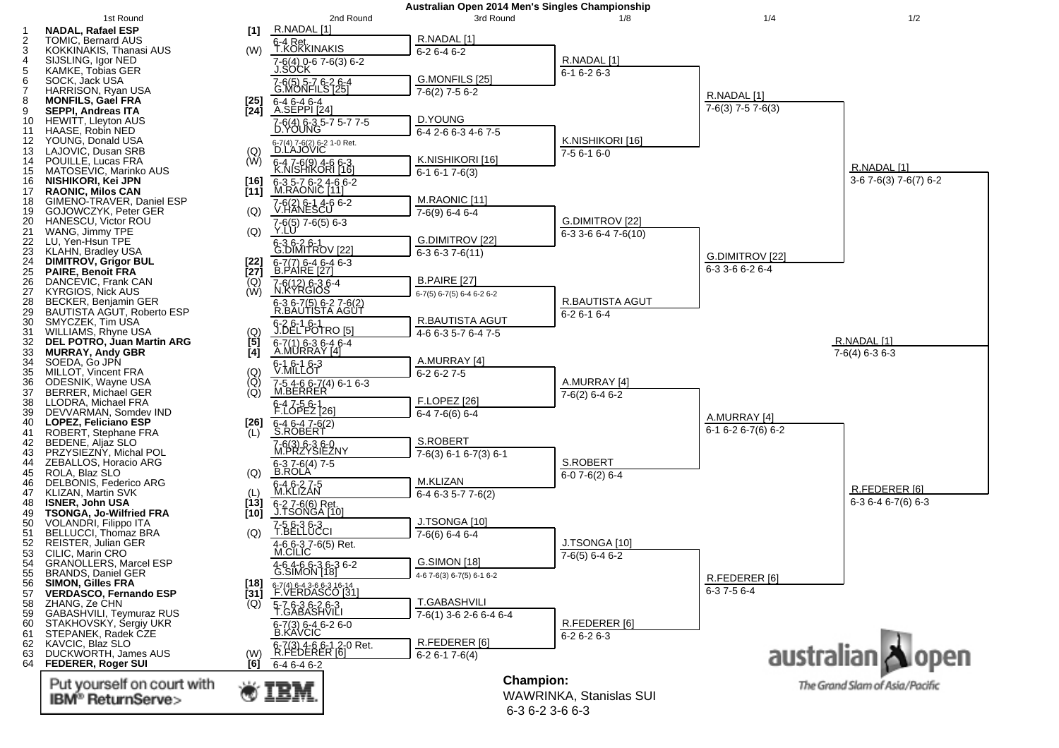